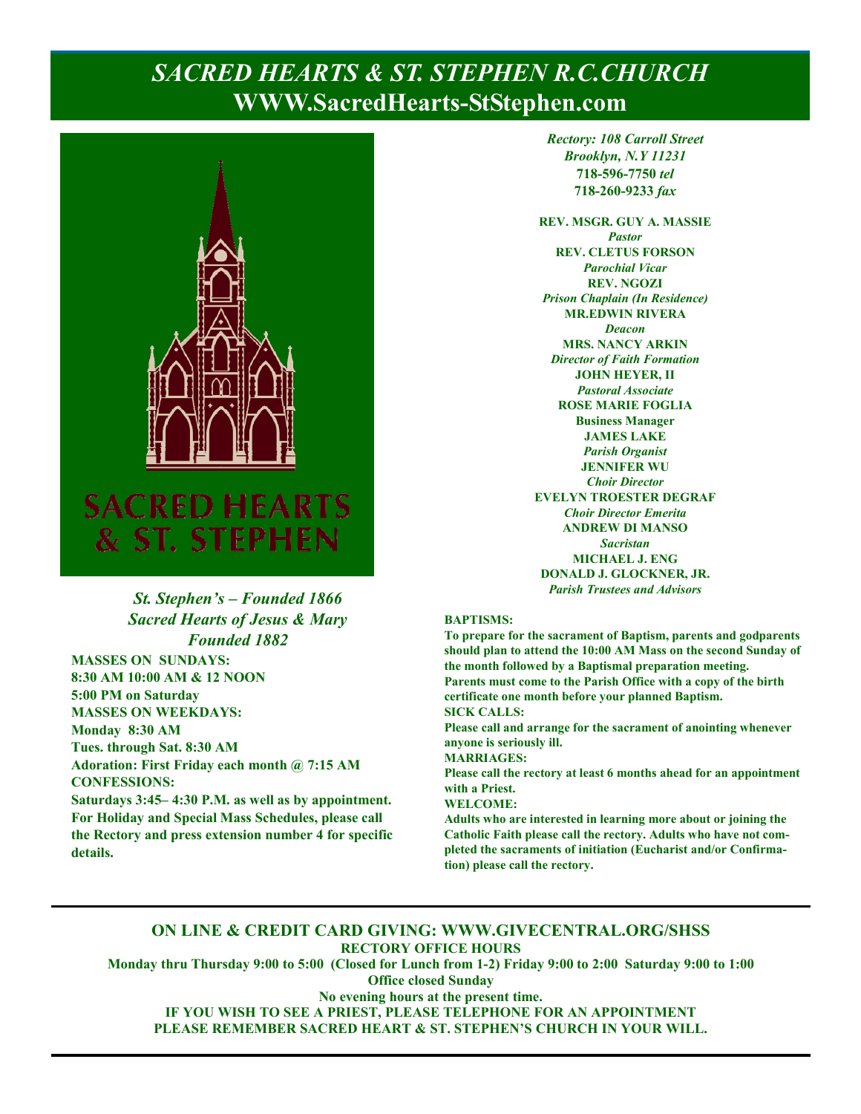# **Page 1, Sunday, January 23, 2022** *SACRED HEARTS & ST. STEPHEN R.C.CHURCH*  **WWW.SacredHearts-StStephen.com**



### *St. Stephen's – Founded 1866 Sacred Hearts of Jesus & Mary Founded 1882*

**MASSES ON SUNDAYS: 8:30 AM 10:00 AM & 12 NOON 5:00 PM on Saturday MASSES ON WEEKDAYS: Monday 8:30 AM Tues. through Sat. 8:30 AM Adoration: First Friday each month @ 7:15 AM CONFESSIONS:** 

**Saturdays 3:45– 4:30 P.M. as well as by appointment. For Holiday and Special Mass Schedules, please call the Rectory and press extension number 4 for specific details.**

*Rectory: 108 Carroll Street Brooklyn, N.Y 11231*  **718-596-7750** *tel* **718-260-9233** *fax*

**REV. MSGR. GUY A. MASSIE**  *Pastor*  **REV. CLETUS FORSON**  *Parochial Vicar*  **REV. NGOZI**  *Prison Chaplain (In Residence)*  **MR.EDWIN RIVERA**  *Deacon*  **MRS. NANCY ARKIN**  *Director of Faith Formation*  **JOHN HEYER, II**  *Pastoral Associate*  **ROSE MARIE FOGLIA Business Manager JAMES LAKE**  *Parish Organist*  **JENNIFER WU**  *Choir Director*  **EVELYN TROESTER DEGRAF**  *Choir Director Emerita*  **ANDREW DI MANSO**  *Sacristan*  **MICHAEL J. ENG DONALD J. GLOCKNER, JR.**  *Parish Trustees and Advisors* 

#### **BAPTISMS:**

**To prepare for the sacrament of Baptism, parents and godparents should plan to attend the 10:00 AM Mass on the second Sunday of the month followed by a Baptismal preparation meeting. Parents must come to the Parish Office with a copy of the birth certificate one month before your planned Baptism. SICK CALLS:** 

**Please call and arrange for the sacrament of anointing whenever anyone is seriously ill.** 

**MARRIAGES:** 

**Please call the rectory at least 6 months ahead for an appointment with a Priest.** 

#### **WELCOME:**

**Adults who are interested in learning more about or joining the Catholic Faith please call the rectory. Adults who have not completed the sacraments of initiation (Eucharist and/or Confirmation) please call the rectory.** 

### **ON LINE & CREDIT CARD GIVING: WWW.GIVECENTRAL.ORG/SHSS RECTORY OFFICE HOURS**

**Monday thru Thursday 9:00 to 5:00 (Closed for Lunch from 1-2) Friday 9:00 to 2:00 Saturday 9:00 to 1:00 Office closed Sunday** 

**No evening hours at the present time. IF YOU WISH TO SEE A PRIEST, PLEASE TELEPHONE FOR AN APPOINTMENT PLEASE REMEMBER SACRED HEART & ST. STEPHEN'S CHURCH IN YOUR WILL.**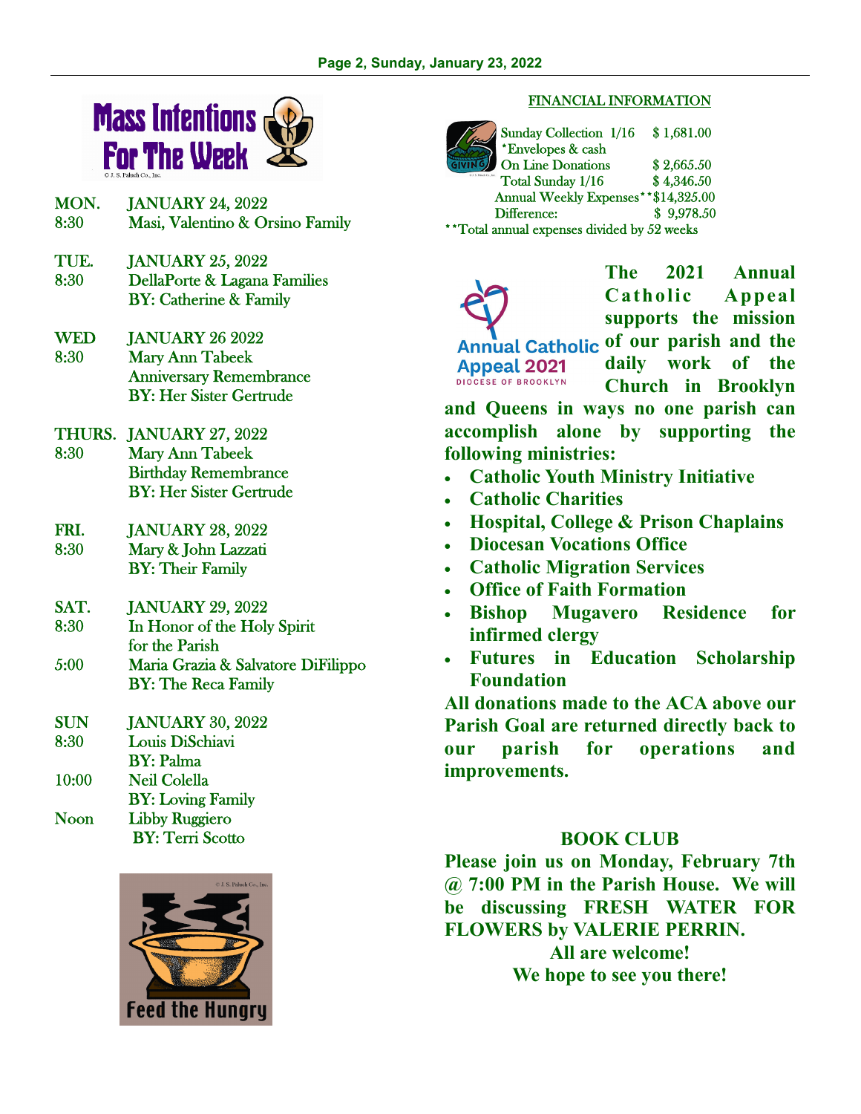

- MON. JANUARY 24, 2022 8:30 Masi, Valentino & Orsino Family
- TUE. JANUARY 25, 2022 8:30 DellaPorte & Lagana Families BY: Catherine & Family
- WED JANUARY 26 2022 8:30 Mary Ann Tabeek Anniversary Remembrance BY: Her Sister Gertrude
- THURS. JANUARY 27, 2022 8:30 Mary Ann Tabeek Birthday Remembrance BY: Her Sister Gertrude
- FRI. JANUARY 28, 2022 8:30 Mary & John Lazzati BY: Their Family
- SAT. JANUARY 29, 2022
- 8:30 In Honor of the Holy Spirit for the Parish
- 5:00 Maria Grazia & Salvatore DiFilippo BY: The Reca Family
- SUN JANUARY 30, 2022
- 8:30 Louis DiSchiavi
- BY: Palma
- 10:00 Neil Colella
- BY: Loving Family Noon Libby Ruggiero
	- BY: Terri Scotto



#### FINANCIAL INFORMATION

Sunday Collection 1/16 \$ 1,681.00 \*Envelopes & cash On Line Donations \$2,665.50 Total Sunday 1/16 \$4,346.50 Annual Weekly Expenses\*\*\$14,325.00 Difference: \$ 9,978.50 \*\*Total annual expenses divided by 52 weeks

**The 2021 Annual Catholic Appeal supports the mission**  Annual Catholic of our parish and the **daily work of the Appeal 2021 DIOCESE OF BROOKLYN Church in Brooklyn** 

**and Queens in ways no one parish can accomplish alone by supporting the following ministries:** 

- **Catholic Youth Ministry Initiative**
- **Catholic Charities**
- **Hospital, College & Prison Chaplains**
- **Diocesan Vocations Office**
- **Catholic Migration Services**
- **Office of Faith Formation**
- **Bishop Mugavero Residence for infirmed clergy**
- **Futures in Education Scholarship Foundation**

**All donations made to the ACA above our Parish Goal are returned directly back to our parish for operations and improvements.** 

## **BOOK CLUB**

**Please join us on Monday, February 7th @ 7:00 PM in the Parish House. We will be discussing FRESH WATER FOR FLOWERS by VALERIE PERRIN.** 

> **All are welcome! We hope to see you there!**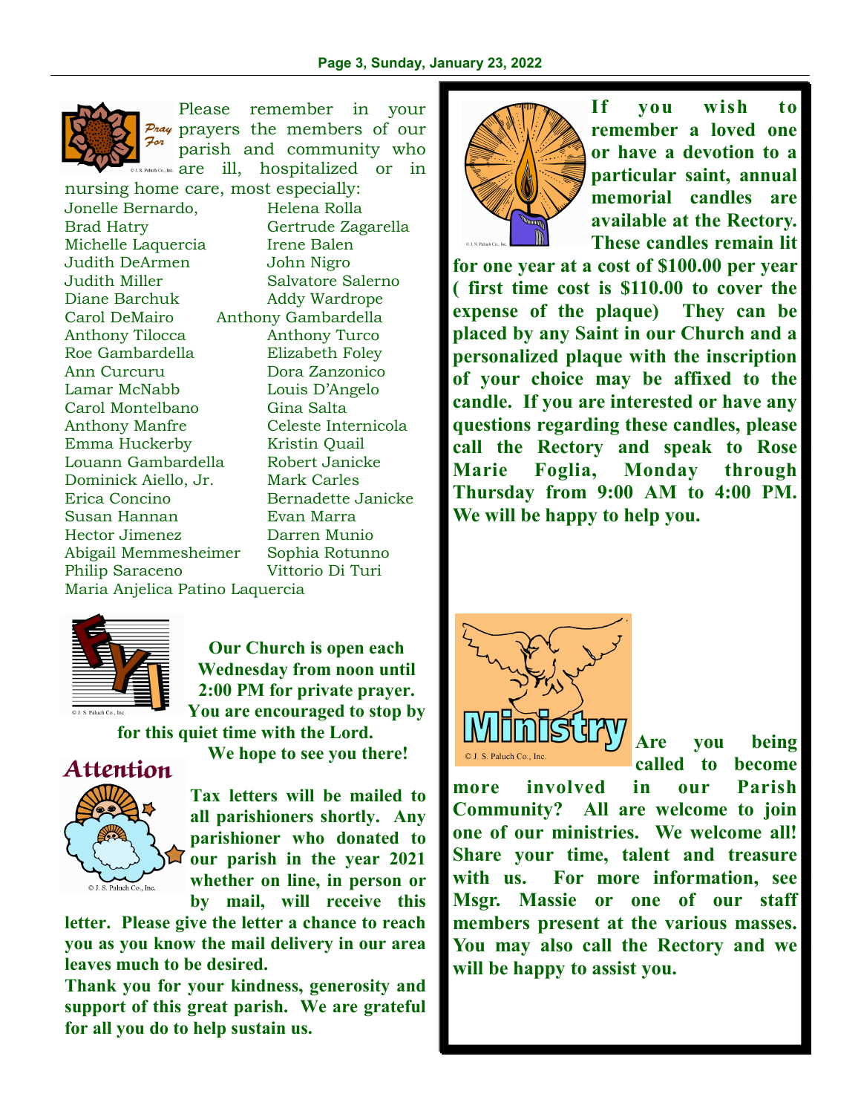

Please remember in your Pray prayers the members of our For parish and community who Paluch Co., Inc. **are** ill, hospitalized or in

nursing home care, most especially: Jonelle Bernardo, Helena Rolla Brad Hatry Gertrude Zagarella Michelle Laquercia Irene Balen Judith DeArmen John Nigro Judith Miller Salvatore Salerno Diane Barchuk Addy Wardrope Carol DeMairo Anthony Gambardella Anthony Tilocca Anthony Turco Roe Gambardella Elizabeth Foley Ann Curcuru Dora Zanzonico Lamar McNabb Louis D'Angelo Carol Montelbano Gina Salta Anthony Manfre Celeste Internicola Emma Huckerby Kristin Quail Louann Gambardella Robert Janicke Dominick Aiello, Jr. Mark Carles Erica Concino Bernadette Janicke Susan Hannan Evan Marra Hector Jimenez Darren Munio Abigail Memmesheimer Sophia Rotunno Philip Saraceno Vittorio Di Turi Maria Anjelica Patino Laquercia



**Our Church is open each Wednesday from noon until 2:00 PM for private prayer. You are encouraged to stop by** 

**for this quiet time with the Lord.** 



**We hope to see you there!** 

**Tax letters will be mailed to all parishioners shortly. Any parishioner who donated to our parish in the year 2021 whether on line, in person or by mail, will receive this** 

**letter. Please give the letter a chance to reach you as you know the mail delivery in our area leaves much to be desired.** 

**Thank you for your kindness, generosity and support of this great parish. We are grateful for all you do to help sustain us.** 



**If you wish to remember a loved one or have a devotion to a particular saint, annual memorial candles are available at the Rectory. These candles remain lit** 

**for one year at a cost of \$100.00 per year ( first time cost is \$110.00 to cover the expense of the plaque) They can be placed by any Saint in our Church and a personalized plaque with the inscription of your choice may be affixed to the candle. If you are interested or have any questions regarding these candles, please call the Rectory and speak to Rose Marie Foglia, Monday through Thursday from 9:00 AM to 4:00 PM. We will be happy to help you.** 



**Are you being called to become** 

**more involved in our Parish Community? All are welcome to join one of our ministries. We welcome all! Share your time, talent and treasure with us. For more information, see Msgr. Massie or one of our staff members present at the various masses. You may also call the Rectory and we will be happy to assist you.**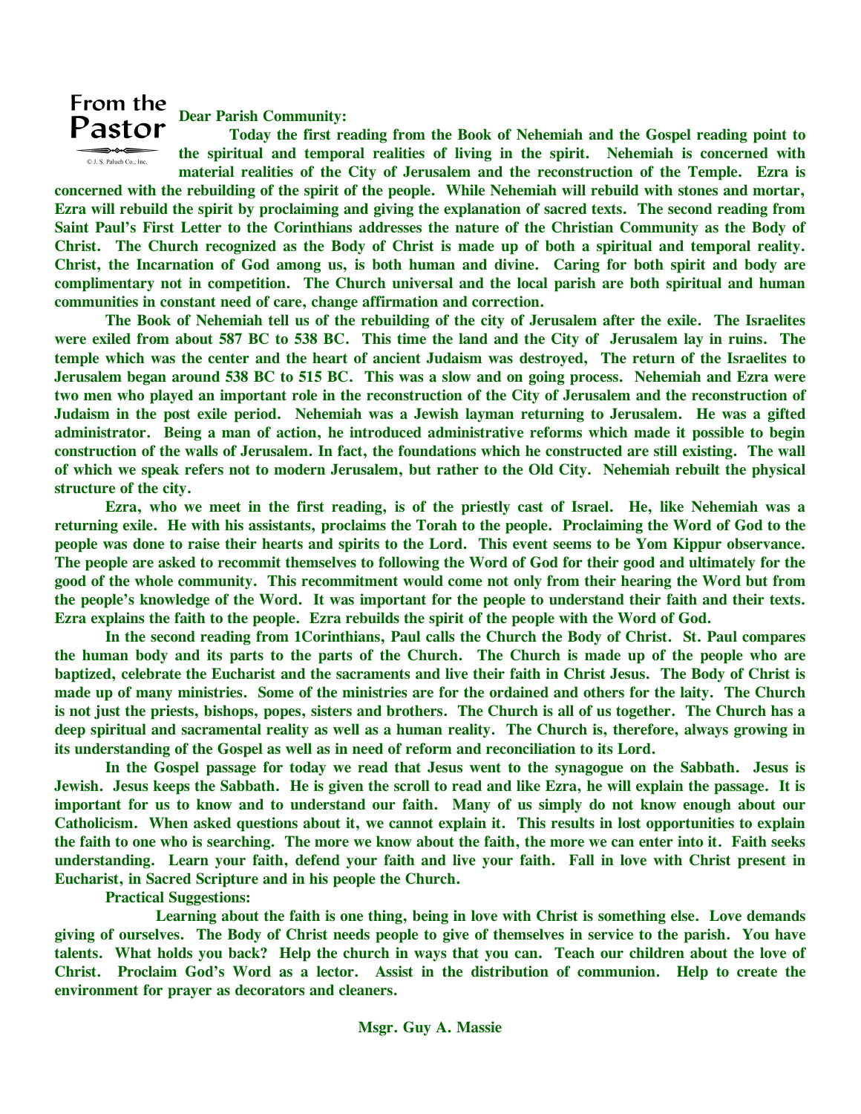## From the Pastor



**Dear Parish Community:** 

 **Today the first reading from the Book of Nehemiah and the Gospel reading point to the spiritual and temporal realities of living in the spirit. Nehemiah is concerned with material realities of the City of Jerusalem and the reconstruction of the Temple. Ezra is** 

**concerned with the rebuilding of the spirit of the people. While Nehemiah will rebuild with stones and mortar, Ezra will rebuild the spirit by proclaiming and giving the explanation of sacred texts. The second reading from Saint Paul's First Letter to the Corinthians addresses the nature of the Christian Community as the Body of Christ. The Church recognized as the Body of Christ is made up of both a spiritual and temporal reality. Christ, the Incarnation of God among us, is both human and divine. Caring for both spirit and body are complimentary not in competition. The Church universal and the local parish are both spiritual and human communities in constant need of care, change affirmation and correction.** 

 **The Book of Nehemiah tell us of the rebuilding of the city of Jerusalem after the exile. The Israelites were exiled from about 587 BC to 538 BC. This time the land and the City of Jerusalem lay in ruins. The temple which was the center and the heart of ancient Judaism was destroyed, The return of the Israelites to Jerusalem began around 538 BC to 515 BC. This was a slow and on going process. Nehemiah and Ezra were two men who played an important role in the reconstruction of the City of Jerusalem and the reconstruction of Judaism in the post exile period. Nehemiah was a Jewish layman returning to Jerusalem. He was a gifted administrator. Being a man of action, he introduced administrative reforms which made it possible to begin construction of the walls of Jerusalem. In fact, the foundations which he constructed are still existing. The wall of which we speak refers not to modern Jerusalem, but rather to the Old City. Nehemiah rebuilt the physical structure of the city.** 

 **Ezra, who we meet in the first reading, is of the priestly cast of Israel. He, like Nehemiah was a returning exile. He with his assistants, proclaims the Torah to the people. Proclaiming the Word of God to the people was done to raise their hearts and spirits to the Lord. This event seems to be Yom Kippur observance. The people are asked to recommit themselves to following the Word of God for their good and ultimately for the good of the whole community. This recommitment would come not only from their hearing the Word but from the people's knowledge of the Word. It was important for the people to understand their faith and their texts. Ezra explains the faith to the people. Ezra rebuilds the spirit of the people with the Word of God.** 

 **In the second reading from 1Corinthians, Paul calls the Church the Body of Christ. St. Paul compares the human body and its parts to the parts of the Church. The Church is made up of the people who are baptized, celebrate the Eucharist and the sacraments and live their faith in Christ Jesus. The Body of Christ is made up of many ministries. Some of the ministries are for the ordained and others for the laity. The Church is not just the priests, bishops, popes, sisters and brothers. The Church is all of us together. The Church has a deep spiritual and sacramental reality as well as a human reality. The Church is, therefore, always growing in its understanding of the Gospel as well as in need of reform and reconciliation to its Lord.** 

 **In the Gospel passage for today we read that Jesus went to the synagogue on the Sabbath. Jesus is Jewish. Jesus keeps the Sabbath. He is given the scroll to read and like Ezra, he will explain the passage. It is important for us to know and to understand our faith. Many of us simply do not know enough about our Catholicism. When asked questions about it, we cannot explain it. This results in lost opportunities to explain the faith to one who is searching. The more we know about the faith, the more we can enter into it. Faith seeks understanding. Learn your faith, defend your faith and live your faith. Fall in love with Christ present in Eucharist, in Sacred Scripture and in his people the Church.** 

 **Practical Suggestions:** 

 **Learning about the faith is one thing, being in love with Christ is something else. Love demands giving of ourselves. The Body of Christ needs people to give of themselves in service to the parish. You have talents. What holds you back? Help the church in ways that you can. Teach our children about the love of Christ. Proclaim God's Word as a lector. Assist in the distribution of communion. Help to create the environment for prayer as decorators and cleaners.**